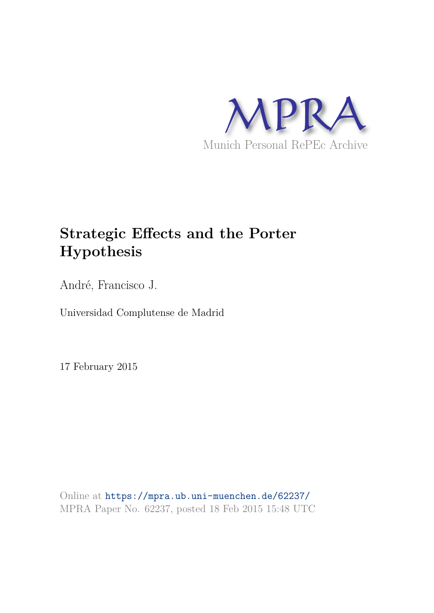

## **Strategic Effects and the Porter Hypothesis**

André, Francisco J.

Universidad Complutense de Madrid

17 February 2015

Online at https://mpra.ub.uni-muenchen.de/62237/ MPRA Paper No. 62237, posted 18 Feb 2015 15:48 UTC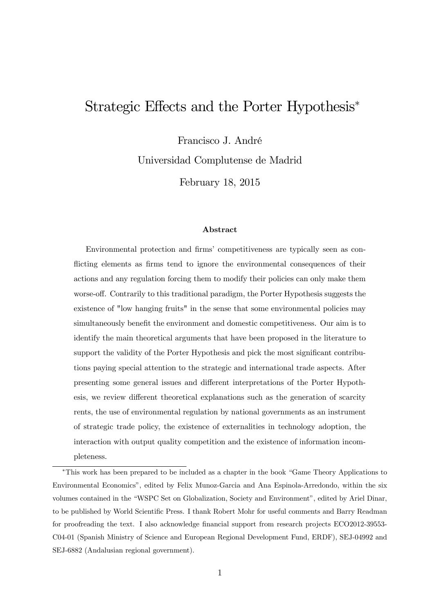## Strategic Effects and the Porter Hypothesis<sup>∗</sup>

Francisco J. André

Universidad Complutense de Madrid

February 18, 2015

#### Abstract

Environmental protection and firms' competitiveness are typically seen as conflicting elements as firms tend to ignore the environmental consequences of their actions and any regulation forcing them to modify their policies can only make them worse-off. Contrarily to this traditional paradigm, the Porter Hypothesis suggests the existence of "low hanging fruits" in the sense that some environmental policies may simultaneously benefit the environment and domestic competitiveness. Our aim is to identify the main theoretical arguments that have been proposed in the literature to support the validity of the Porter Hypothesis and pick the most significant contributions paying special attention to the strategic and international trade aspects. After presenting some general issues and different interpretations of the Porter Hypothesis, we review different theoretical explanations such as the generation of scarcity rents, the use of environmental regulation by national governments as an instrument of strategic trade policy, the existence of externalities in technology adoption, the interaction with output quality competition and the existence of information incompleteness.

<sup>∗</sup>This work has been prepared to be included as a chapter in the book "Game Theory Applications to Environmental Economics", edited by Felix Munoz-Garcia and Ana Espinola-Arredondo, within the six volumes contained in the "WSPC Set on Globalization, Society and Environment", edited by Ariel Dinar, to be published by World Scientific Press. I thank Robert Mohr for useful comments and Barry Readman for proofreading the text. I also acknowledge financial support from research projects ECO2012-39553- C04-01 (Spanish Ministry of Science and European Regional Development Fund, ERDF), SEJ-04992 and SEJ-6882 (Andalusian regional government).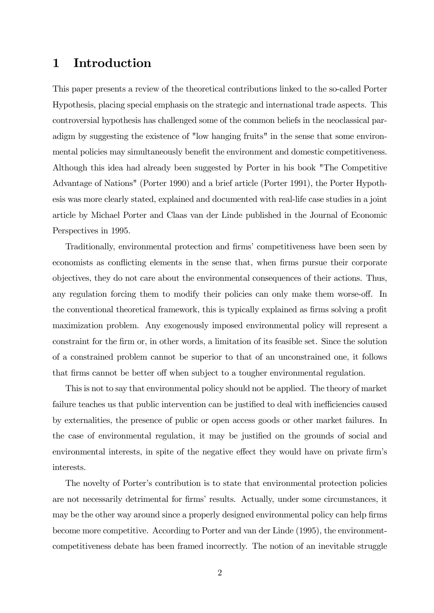### 1 Introduction

This paper presents a review of the theoretical contributions linked to the so-called Porter Hypothesis, placing special emphasis on the strategic and international trade aspects. This controversial hypothesis has challenged some of the common beliefs in the neoclassical paradigm by suggesting the existence of "low hanging fruits" in the sense that some environmental policies may simultaneously benefit the environment and domestic competitiveness. Although this idea had already been suggested by Porter in his book "The Competitive Advantage of Nations" (Porter 1990) and a brief article (Porter 1991), the Porter Hypothesis was more clearly stated, explained and documented with real-life case studies in a joint article by Michael Porter and Claas van der Linde published in the Journal of Economic Perspectives in 1995.

Traditionally, environmental protection and firms' competitiveness have been seen by economists as conflicting elements in the sense that, when firms pursue their corporate objectives, they do not care about the environmental consequences of their actions. Thus, any regulation forcing them to modify their policies can only make them worse-off. In the conventional theoretical framework, this is typically explained as firms solving a profit maximization problem. Any exogenously imposed environmental policy will represent a constraint for the firm or, in other words, a limitation of its feasible set. Since the solution of a constrained problem cannot be superior to that of an unconstrained one, it follows that firms cannot be better off when subject to a tougher environmental regulation.

This is not to say that environmental policy should not be applied. The theory of market failure teaches us that public intervention can be justified to deal with inefficiencies caused by externalities, the presence of public or open access goods or other market failures. In the case of environmental regulation, it may be justified on the grounds of social and environmental interests, in spite of the negative effect they would have on private firm's interests.

The novelty of Porter's contribution is to state that environmental protection policies are not necessarily detrimental for firms' results. Actually, under some circumstances, it may be the other way around since a properly designed environmental policy can help firms become more competitive. According to Porter and van der Linde (1995), the environmentcompetitiveness debate has been framed incorrectly. The notion of an inevitable struggle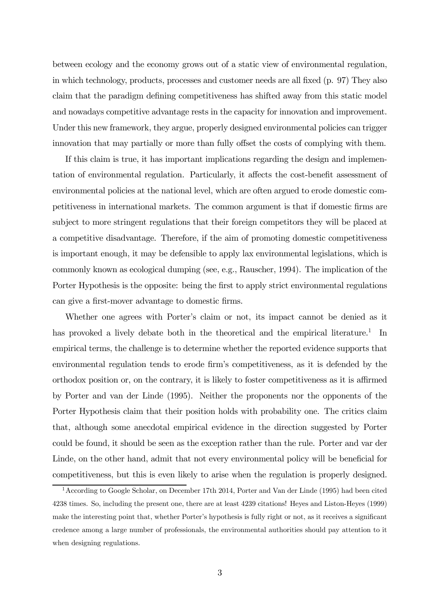between ecology and the economy grows out of a static view of environmental regulation, in which technology, products, processes and customer needs are all fixed (p. 97) They also claim that the paradigm defining competitiveness has shifted away from this static model and nowadays competitive advantage rests in the capacity for innovation and improvement. Under this new framework, they argue, properly designed environmental policies can trigger innovation that may partially or more than fully offset the costs of complying with them.

If this claim is true, it has important implications regarding the design and implementation of environmental regulation. Particularly, it affects the cost-benefit assessment of environmental policies at the national level, which are often argued to erode domestic competitiveness in international markets. The common argument is that if domestic firms are subject to more stringent regulations that their foreign competitors they will be placed at a competitive disadvantage. Therefore, if the aim of promoting domestic competitiveness is important enough, it may be defensible to apply lax environmental legislations, which is commonly known as ecological dumping (see, e.g., Rauscher, 1994). The implication of the Porter Hypothesis is the opposite: being the first to apply strict environmental regulations can give a first-mover advantage to domestic firms.

Whether one agrees with Porter's claim or not, its impact cannot be denied as it has provoked a lively debate both in the theoretical and the empirical literature.<sup>1</sup> In empirical terms, the challenge is to determine whether the reported evidence supports that environmental regulation tends to erode firm's competitiveness, as it is defended by the orthodox position or, on the contrary, it is likely to foster competitiveness as it is affirmed by Porter and van der Linde (1995). Neither the proponents nor the opponents of the Porter Hypothesis claim that their position holds with probability one. The critics claim that, although some anecdotal empirical evidence in the direction suggested by Porter could be found, it should be seen as the exception rather than the rule. Porter and var der Linde, on the other hand, admit that not every environmental policy will be beneficial for competitiveness, but this is even likely to arise when the regulation is properly designed.

<sup>&</sup>lt;sup>1</sup> According to Google Scholar, on December 17th 2014, Porter and Van der Linde (1995) had been cited 4238 times. So, including the present one, there are at least 4239 citations! Heyes and Liston-Heyes (1999) make the interesting point that, whether Porter's hypothesis is fully right or not, as it receives a significant credence among a large number of professionals, the environmental authorities should pay attention to it when designing regulations.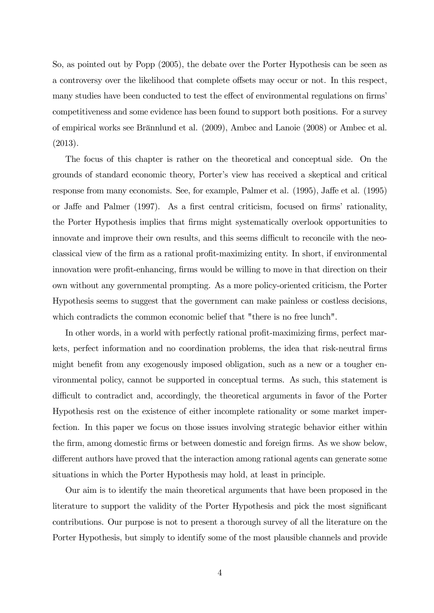So, as pointed out by Popp (2005), the debate over the Porter Hypothesis can be seen as a controversy over the likelihood that complete offsets may occur or not. In this respect, many studies have been conducted to test the effect of environmental regulations on firms' competitiveness and some evidence has been found to support both positions. For a survey of empirical works see Brännlund et al. (2009), Ambec and Lanoie (2008) or Ambec et al. (2013).

The focus of this chapter is rather on the theoretical and conceptual side. On the grounds of standard economic theory, Porter's view has received a skeptical and critical response from many economists. See, for example, Palmer et al. (1995), Jaffe et al. (1995) or Jaffe and Palmer (1997). As a first central criticism, focused on firms' rationality, the Porter Hypothesis implies that firms might systematically overlook opportunities to innovate and improve their own results, and this seems difficult to reconcile with the neoclassical view of the firm as a rational profit-maximizing entity. In short, if environmental innovation were profit-enhancing, firms would be willing to move in that direction on their own without any governmental prompting. As a more policy-oriented criticism, the Porter Hypothesis seems to suggest that the government can make painless or costless decisions, which contradicts the common economic belief that "there is no free lunch".

In other words, in a world with perfectly rational profit-maximizing firms, perfect markets, perfect information and no coordination problems, the idea that risk-neutral firms might benefit from any exogenously imposed obligation, such as a new or a tougher environmental policy, cannot be supported in conceptual terms. As such, this statement is difficult to contradict and, accordingly, the theoretical arguments in favor of the Porter Hypothesis rest on the existence of either incomplete rationality or some market imperfection. In this paper we focus on those issues involving strategic behavior either within the firm, among domestic firms or between domestic and foreign firms. As we show below, different authors have proved that the interaction among rational agents can generate some situations in which the Porter Hypothesis may hold, at least in principle.

Our aim is to identify the main theoretical arguments that have been proposed in the literature to support the validity of the Porter Hypothesis and pick the most significant contributions. Our purpose is not to present a thorough survey of all the literature on the Porter Hypothesis, but simply to identify some of the most plausible channels and provide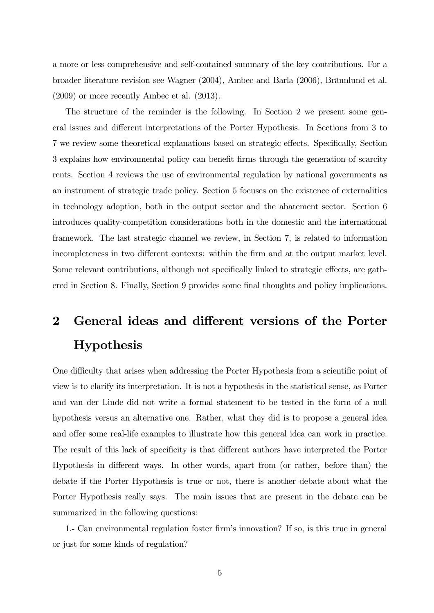a more or less comprehensive and self-contained summary of the key contributions. For a broader literature revision see Wagner (2004), Ambec and Barla (2006), Brännlund et al. (2009) or more recently Ambec et al. (2013).

The structure of the reminder is the following. In Section 2 we present some general issues and different interpretations of the Porter Hypothesis. In Sections from 3 to 7 we review some theoretical explanations based on strategic effects. Specifically, Section 3 explains how environmental policy can benefit firms through the generation of scarcity rents. Section 4 reviews the use of environmental regulation by national governments as an instrument of strategic trade policy. Section 5 focuses on the existence of externalities in technology adoption, both in the output sector and the abatement sector. Section 6 introduces quality-competition considerations both in the domestic and the international framework. The last strategic channel we review, in Section 7, is related to information incompleteness in two different contexts: within the firm and at the output market level. Some relevant contributions, although not specifically linked to strategic effects, are gathered in Section 8. Finally, Section 9 provides some final thoughts and policy implications.

# 2 General ideas and different versions of the Porter Hypothesis

One difficulty that arises when addressing the Porter Hypothesis from a scientific point of view is to clarify its interpretation. It is not a hypothesis in the statistical sense, as Porter and van der Linde did not write a formal statement to be tested in the form of a null hypothesis versus an alternative one. Rather, what they did is to propose a general idea and offer some real-life examples to illustrate how this general idea can work in practice. The result of this lack of specificity is that different authors have interpreted the Porter Hypothesis in different ways. In other words, apart from (or rather, before than) the debate if the Porter Hypothesis is true or not, there is another debate about what the Porter Hypothesis really says. The main issues that are present in the debate can be summarized in the following questions:

1.- Can environmental regulation foster firm's innovation? If so, is this true in general or just for some kinds of regulation?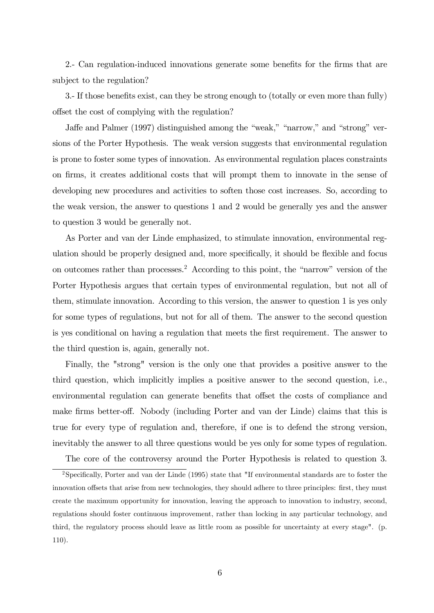2.- Can regulation-induced innovations generate some benefits for the firms that are subject to the regulation?

3.- If those benefits exist, can they be strong enough to (totally or even more than fully) offset the cost of complying with the regulation?

Jaffe and Palmer (1997) distinguished among the "weak," "narrow," and "strong" versions of the Porter Hypothesis. The weak version suggests that environmental regulation is prone to foster some types of innovation. As environmental regulation places constraints on firms, it creates additional costs that will prompt them to innovate in the sense of developing new procedures and activities to soften those cost increases. So, according to the weak version, the answer to questions 1 and 2 would be generally yes and the answer to question 3 would be generally not.

As Porter and van der Linde emphasized, to stimulate innovation, environmental regulation should be properly designed and, more specifically, it should be flexible and focus on outcomes rather than processes.<sup>2</sup> According to this point, the "narrow" version of the Porter Hypothesis argues that certain types of environmental regulation, but not all of them, stimulate innovation. According to this version, the answer to question 1 is yes only for some types of regulations, but not for all of them. The answer to the second question is yes conditional on having a regulation that meets the first requirement. The answer to the third question is, again, generally not.

Finally, the "strong" version is the only one that provides a positive answer to the third question, which implicitly implies a positive answer to the second question, i.e., environmental regulation can generate benefits that offset the costs of compliance and make firms better-off. Nobody (including Porter and van der Linde) claims that this is true for every type of regulation and, therefore, if one is to defend the strong version, inevitably the answer to all three questions would be yes only for some types of regulation.

The core of the controversy around the Porter Hypothesis is related to question 3.

<sup>2</sup>Specifically, Porter and van der Linde (1995) state that "If environmental standards are to foster the innovation offsets that arise from new technologies, they should adhere to three principles: first, they must create the maximum opportunity for innovation, leaving the approach to innovation to industry, second, regulations should foster continuous improvement, rather than locking in any particular technology, and third, the regulatory process should leave as little room as possible for uncertainty at every stage". (p. 110).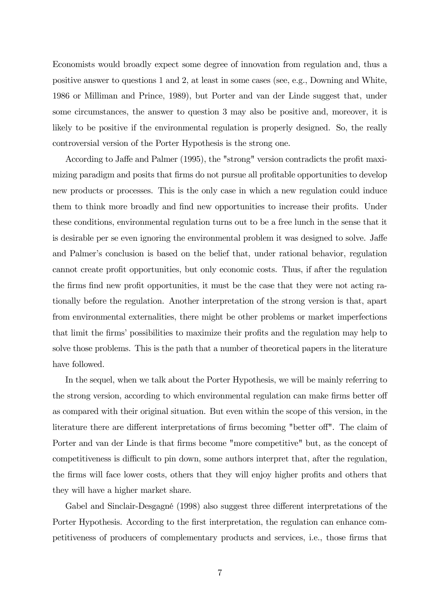Economists would broadly expect some degree of innovation from regulation and, thus a positive answer to questions 1 and 2, at least in some cases (see, e.g., Downing and White, 1986 or Milliman and Prince, 1989), but Porter and van der Linde suggest that, under some circumstances, the answer to question 3 may also be positive and, moreover, it is likely to be positive if the environmental regulation is properly designed. So, the really controversial version of the Porter Hypothesis is the strong one.

According to Jaffe and Palmer (1995), the "strong" version contradicts the profit maximizing paradigm and posits that firms do not pursue all profitable opportunities to develop new products or processes. This is the only case in which a new regulation could induce them to think more broadly and find new opportunities to increase their profits. Under these conditions, environmental regulation turns out to be a free lunch in the sense that it is desirable per se even ignoring the environmental problem it was designed to solve. Jaffe and Palmer's conclusion is based on the belief that, under rational behavior, regulation cannot create profit opportunities, but only economic costs. Thus, if after the regulation the firms find new profit opportunities, it must be the case that they were not acting rationally before the regulation. Another interpretation of the strong version is that, apart from environmental externalities, there might be other problems or market imperfections that limit the firms' possibilities to maximize their profits and the regulation may help to solve those problems. This is the path that a number of theoretical papers in the literature have followed.

In the sequel, when we talk about the Porter Hypothesis, we will be mainly referring to the strong version, according to which environmental regulation can make firms better off as compared with their original situation. But even within the scope of this version, in the literature there are different interpretations of firms becoming "better off". The claim of Porter and van der Linde is that firms become "more competitive" but, as the concept of competitiveness is difficult to pin down, some authors interpret that, after the regulation, the firms will face lower costs, others that they will enjoy higher profits and others that they will have a higher market share.

Gabel and Sinclair-Desgagné (1998) also suggest three different interpretations of the Porter Hypothesis. According to the first interpretation, the regulation can enhance competitiveness of producers of complementary products and services, i.e., those firms that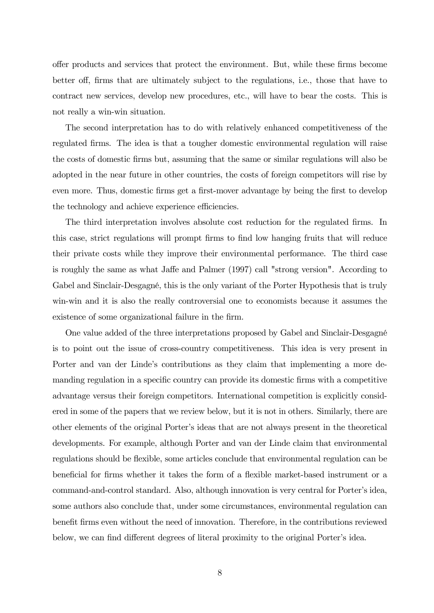offer products and services that protect the environment. But, while these firms become better off, firms that are ultimately subject to the regulations, i.e., those that have to contract new services, develop new procedures, etc., will have to bear the costs. This is not really a win-win situation.

The second interpretation has to do with relatively enhanced competitiveness of the regulated firms. The idea is that a tougher domestic environmental regulation will raise the costs of domestic firms but, assuming that the same or similar regulations will also be adopted in the near future in other countries, the costs of foreign competitors will rise by even more. Thus, domestic firms get a first-mover advantage by being the first to develop the technology and achieve experience efficiencies.

The third interpretation involves absolute cost reduction for the regulated firms. In this case, strict regulations will prompt firms to find low hanging fruits that will reduce their private costs while they improve their environmental performance. The third case is roughly the same as what Jaffe and Palmer (1997) call "strong version". According to Gabel and Sinclair-Desgagné, this is the only variant of the Porter Hypothesis that is truly win-win and it is also the really controversial one to economists because it assumes the existence of some organizational failure in the firm.

One value added of the three interpretations proposed by Gabel and Sinclair-Desgagné is to point out the issue of cross-country competitiveness. This idea is very present in Porter and van der Linde's contributions as they claim that implementing a more demanding regulation in a specific country can provide its domestic firms with a competitive advantage versus their foreign competitors. International competition is explicitly considered in some of the papers that we review below, but it is not in others. Similarly, there are other elements of the original Porter's ideas that are not always present in the theoretical developments. For example, although Porter and van der Linde claim that environmental regulations should be flexible, some articles conclude that environmental regulation can be beneficial for firms whether it takes the form of a flexible market-based instrument or a command-and-control standard. Also, although innovation is very central for Porter's idea, some authors also conclude that, under some circumstances, environmental regulation can benefit firms even without the need of innovation. Therefore, in the contributions reviewed below, we can find different degrees of literal proximity to the original Porter's idea.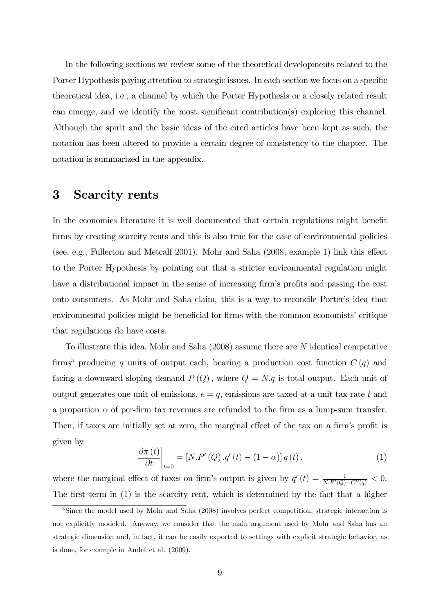In the following sections we review some of the theoretical developments related to the Porter Hypothesis paying attention to strategic issues. In each section we focus on a specific theoretical idea, i.e., a channel by which the Porter Hypothesis or a closely related result can emerge, and we identify the most significant contribution(s) exploring this channel. Although the spirit and the basic ideas of the cited articles have been kept as such, the notation has been altered to provide a certain degree of consistency to the chapter. The notation is summarized in the appendix.

#### 3 Scarcity rents

In the economics literature it is well documented that certain regulations might benefit firms by creating scarcity rents and this is also true for the case of environmental policies (see, e.g., Fullerton and Metcalf 2001). Mohr and Saha (2008, example 1) link this effect to the Porter Hypothesis by pointing out that a stricter environmental regulation might have a distributional impact in the sense of increasing firm's profits and passing the cost onto consumers. As Mohr and Saha claim, this is a way to reconcile Porter's idea that environmental policies might be beneficial for firms with the common economists' critique that regulations do have costs.

To illustrate this idea, Mohr and Saha  $(2008)$  assume there are N identical competitive firms<sup>3</sup> producing q units of output each, bearing a production cost function  $C(q)$  and facing a downward sloping demand  $P(Q)$ , where  $Q = N.q$  is total output. Each unit of output generates one unit of emissions,  $e = q$ , emissions are taxed at a unit tax rate t and a proportion  $\alpha$  of per-firm tax revenues are refunded to the firm as a lump-sum transfer. Then, if taxes are initially set at zero, the marginal effect of the tax on a firm's profit is given by

$$
\left. \frac{\partial \pi(t)}{\partial t} \right|_{t=0} = \left[ N.P'(Q) \cdot q'(t) - (1 - \alpha) \right] q(t), \tag{1}
$$

where the marginal effect of taxes on firm's output is given by  $q'(t) = \frac{1}{N \cdot P'(Q) - C''(q)} < 0$ . The first term in (1) is the scarcity rent, which is determined by the fact that a higher

<sup>&</sup>lt;sup>3</sup>Since the model used by Mohr and Saha (2008) involves perfect competition, strategic interaction is not explicitly modeled. Anyway, we consider that the main argument used by Mohr and Saha has an strategic dimension and, in fact, it can be easily exported to settings with explicit strategic behavior, as is done, for example in André et al. (2009).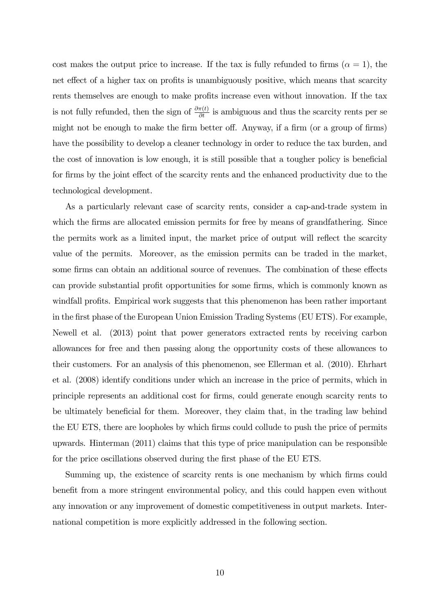cost makes the output price to increase. If the tax is fully refunded to firms  $(\alpha = 1)$ , the net effect of a higher tax on profits is unambiguously positive, which means that scarcity rents themselves are enough to make profits increase even without innovation. If the tax is not fully refunded, then the sign of  $\frac{\partial \pi(t)}{\partial t}$  is ambiguous and thus the scarcity rents per se might not be enough to make the firm better off. Anyway, if a firm (or a group of firms) have the possibility to develop a cleaner technology in order to reduce the tax burden, and the cost of innovation is low enough, it is still possible that a tougher policy is beneficial for firms by the joint effect of the scarcity rents and the enhanced productivity due to the technological development.

As a particularly relevant case of scarcity rents, consider a cap-and-trade system in which the firms are allocated emission permits for free by means of grandfathering. Since the permits work as a limited input, the market price of output will reflect the scarcity value of the permits. Moreover, as the emission permits can be traded in the market, some firms can obtain an additional source of revenues. The combination of these effects can provide substantial profit opportunities for some firms, which is commonly known as windfall profits. Empirical work suggests that this phenomenon has been rather important in the first phase of the European Union Emission Trading Systems (EU ETS). For example, Newell et al. (2013) point that power generators extracted rents by receiving carbon allowances for free and then passing along the opportunity costs of these allowances to their customers. For an analysis of this phenomenon, see Ellerman et al. (2010). Ehrhart et al. (2008) identify conditions under which an increase in the price of permits, which in principle represents an additional cost for firms, could generate enough scarcity rents to be ultimately beneficial for them. Moreover, they claim that, in the trading law behind the EU ETS, there are loopholes by which firms could collude to push the price of permits upwards. Hinterman (2011) claims that this type of price manipulation can be responsible for the price oscillations observed during the first phase of the EU ETS.

Summing up, the existence of scarcity rents is one mechanism by which firms could benefit from a more stringent environmental policy, and this could happen even without any innovation or any improvement of domestic competitiveness in output markets. International competition is more explicitly addressed in the following section.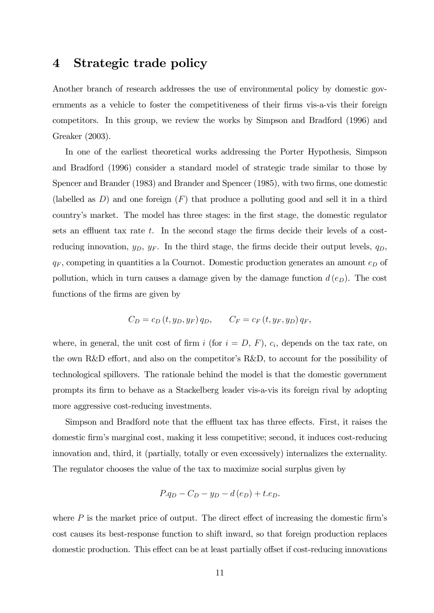### 4 Strategic trade policy

Another branch of research addresses the use of environmental policy by domestic governments as a vehicle to foster the competitiveness of their firms vis-a-vis their foreign competitors. In this group, we review the works by Simpson and Bradford (1996) and Greaker (2003).

In one of the earliest theoretical works addressing the Porter Hypothesis, Simpson and Bradford (1996) consider a standard model of strategic trade similar to those by Spencer and Brander (1983) and Brander and Spencer (1985), with two firms, one domestic (labelled as  $D$ ) and one foreign  $(F)$  that produce a polluting good and sell it in a third country's market. The model has three stages: in the first stage, the domestic regulator sets an effluent tax rate  $t$ . In the second stage the firms decide their levels of a costreducing innovation,  $y_D$ ,  $y_F$ . In the third stage, the firms decide their output levels,  $q_D$ ,  $q_F$ , competing in quantities a la Cournot. Domestic production generates an amount  $e_D$  of pollution, which in turn causes a damage given by the damage function  $d(e_D)$ . The cost functions of the firms are given by

$$
C_D = c_D(t, y_D, y_F) q_D, \qquad C_F = c_F(t, y_F, y_D) q_F,
$$

where, in general, the unit cost of firm i (for  $i = D, F$ ),  $c_i$ , depends on the tax rate, on the own R&D effort, and also on the competitor's R&D, to account for the possibility of technological spillovers. The rationale behind the model is that the domestic government prompts its firm to behave as a Stackelberg leader vis-a-vis its foreign rival by adopting more aggressive cost-reducing investments.

Simpson and Bradford note that the effluent tax has three effects. First, it raises the domestic firm's marginal cost, making it less competitive; second, it induces cost-reducing innovation and, third, it (partially, totally or even excessively) internalizes the externality. The regulator chooses the value of the tax to maximize social surplus given by

$$
P.q_D - C_D - y_D - d(e_D) + t.e_D.
$$

where  $P$  is the market price of output. The direct effect of increasing the domestic firm's cost causes its best-response function to shift inward, so that foreign production replaces domestic production. This effect can be at least partially offset if cost-reducing innovations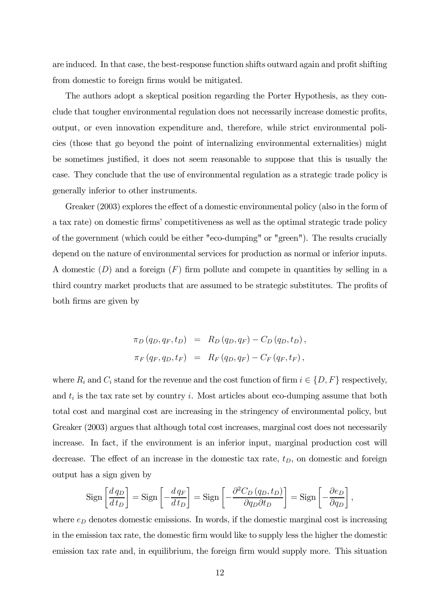are induced. In that case, the best-response function shifts outward again and profit shifting from domestic to foreign firms would be mitigated.

The authors adopt a skeptical position regarding the Porter Hypothesis, as they conclude that tougher environmental regulation does not necessarily increase domestic profits, output, or even innovation expenditure and, therefore, while strict environmental policies (those that go beyond the point of internalizing environmental externalities) might be sometimes justified, it does not seem reasonable to suppose that this is usually the case. They conclude that the use of environmental regulation as a strategic trade policy is generally inferior to other instruments.

Greaker (2003) explores the effect of a domestic environmental policy (also in the form of a tax rate) on domestic firms' competitiveness as well as the optimal strategic trade policy of the government (which could be either "eco-dumping" or "green"). The results crucially depend on the nature of environmental services for production as normal or inferior inputs. A domestic  $(D)$  and a foreign  $(F)$  firm pollute and compete in quantities by selling in a third country market products that are assumed to be strategic substitutes. The profits of both firms are given by

$$
\pi_D(q_D, q_F, t_D) = R_D(q_D, q_F) - C_D(q_D, t_D),
$$
  

$$
\pi_F(q_F, q_D, t_F) = R_F(q_D, q_F) - C_F(q_F, t_F),
$$

where  $R_i$  and  $C_i$  stand for the revenue and the cost function of firm  $i \in \{D, F\}$  respectively, and  $t_i$  is the tax rate set by country i. Most articles about eco-dumping assume that both total cost and marginal cost are increasing in the stringency of environmental policy, but Greaker (2003) argues that although total cost increases, marginal cost does not necessarily increase. In fact, if the environment is an inferior input, marginal production cost will decrease. The effect of an increase in the domestic tax rate,  $t_D$ , on domestic and foreign output has a sign given by

$$
\operatorname{Sign}\left[\frac{d\,q_D}{d\,t_D}\right] = \operatorname{Sign}\left[-\frac{d\,q_F}{d\,t_D}\right] = \operatorname{Sign}\left[-\frac{\partial^2 C_D\left(q_D, t_D\right)}{\partial q_D \partial t_D}\right] = \operatorname{Sign}\left[-\frac{\partial e_D}{\partial q_D}\right],
$$

where  $e_D$  denotes domestic emissions. In words, if the domestic marginal cost is increasing in the emission tax rate, the domestic firm would like to supply less the higher the domestic emission tax rate and, in equilibrium, the foreign firm would supply more. This situation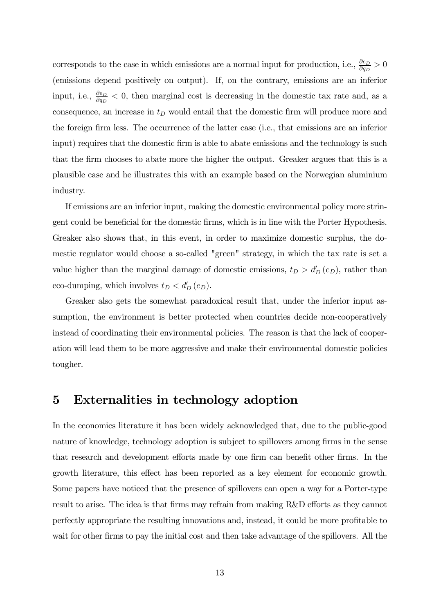corresponds to the case in which emissions are a normal input for production, i.e.,  $\frac{\partial e_D}{\partial q_D} > 0$ (emissions depend positively on output). If, on the contrary, emissions are an inferior input, i.e.,  $\frac{\partial e_D}{\partial q_D} < 0$ , then marginal cost is decreasing in the domestic tax rate and, as a consequence, an increase in  $t_D$  would entail that the domestic firm will produce more and the foreign firm less. The occurrence of the latter case (i.e., that emissions are an inferior input) requires that the domestic firm is able to abate emissions and the technology is such that the firm chooses to abate more the higher the output. Greaker argues that this is a plausible case and he illustrates this with an example based on the Norwegian aluminium industry.

If emissions are an inferior input, making the domestic environmental policy more stringent could be beneficial for the domestic firms, which is in line with the Porter Hypothesis. Greaker also shows that, in this event, in order to maximize domestic surplus, the domestic regulator would choose a so-called "green" strategy, in which the tax rate is set a value higher than the marginal damage of domestic emissions,  $t_D > d'_D(e_D)$ , rather than eco-dumping, which involves  $t_D < d'_D(e_D)$ .

Greaker also gets the somewhat paradoxical result that, under the inferior input assumption, the environment is better protected when countries decide non-cooperatively instead of coordinating their environmental policies. The reason is that the lack of cooperation will lead them to be more aggressive and make their environmental domestic policies tougher.

### 5 Externalities in technology adoption

In the economics literature it has been widely acknowledged that, due to the public-good nature of knowledge, technology adoption is subject to spillovers among firms in the sense that research and development efforts made by one firm can benefit other firms. In the growth literature, this effect has been reported as a key element for economic growth. Some papers have noticed that the presence of spillovers can open a way for a Porter-type result to arise. The idea is that firms may refrain from making R&D efforts as they cannot perfectly appropriate the resulting innovations and, instead, it could be more profitable to wait for other firms to pay the initial cost and then take advantage of the spillovers. All the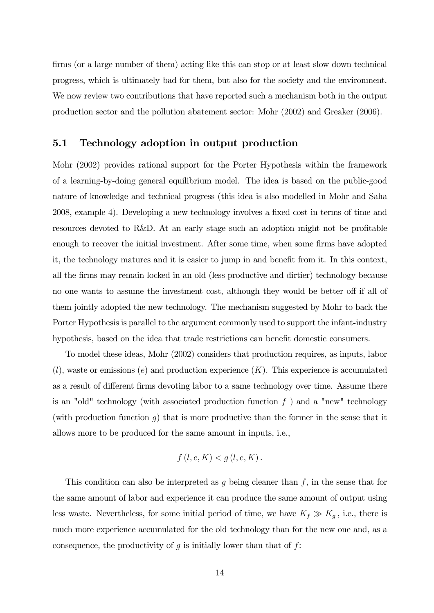firms (or a large number of them) acting like this can stop or at least slow down technical progress, which is ultimately bad for them, but also for the society and the environment. We now review two contributions that have reported such a mechanism both in the output production sector and the pollution abatement sector: Mohr (2002) and Greaker (2006).

#### 5.1 Technology adoption in output production

Mohr (2002) provides rational support for the Porter Hypothesis within the framework of a learning-by-doing general equilibrium model. The idea is based on the public-good nature of knowledge and technical progress (this idea is also modelled in Mohr and Saha 2008, example 4). Developing a new technology involves a fixed cost in terms of time and resources devoted to R&D. At an early stage such an adoption might not be profitable enough to recover the initial investment. After some time, when some firms have adopted it, the technology matures and it is easier to jump in and benefit from it. In this context, all the firms may remain locked in an old (less productive and dirtier) technology because no one wants to assume the investment cost, although they would be better off if all of them jointly adopted the new technology. The mechanism suggested by Mohr to back the Porter Hypothesis is parallel to the argument commonly used to support the infant-industry hypothesis, based on the idea that trade restrictions can benefit domestic consumers.

To model these ideas, Mohr (2002) considers that production requires, as inputs, labor  $(l)$ , waste or emissions (e) and production experience  $(K)$ . This experience is accumulated as a result of different firms devoting labor to a same technology over time. Assume there is an "old" technology (with associated production function  $f$ ) and a "new" technology (with production function  $g$ ) that is more productive than the former in the sense that it allows more to be produced for the same amount in inputs, i.e.,

$$
f(l, e, K) < g(l, e, K).
$$

This condition can also be interpreted as  $g$  being cleaner than  $f$ , in the sense that for the same amount of labor and experience it can produce the same amount of output using less waste. Nevertheless, for some initial period of time, we have  $K_f \gg K_g$ , i.e., there is much more experience accumulated for the old technology than for the new one and, as a consequence, the productivity of  $g$  is initially lower than that of  $f$ :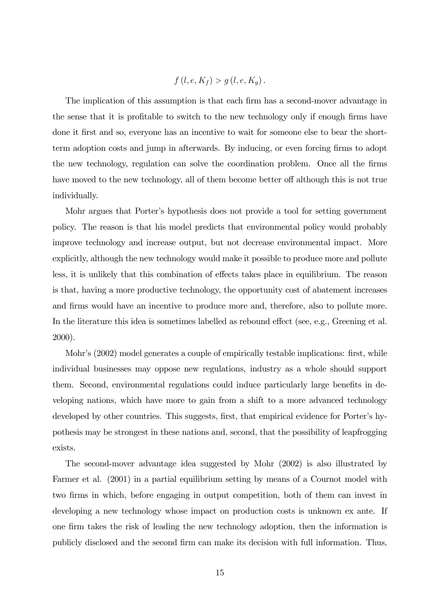$$
f(l, e, K_f) > g(l, e, K_g).
$$

The implication of this assumption is that each firm has a second-mover advantage in the sense that it is profitable to switch to the new technology only if enough firms have done it first and so, everyone has an incentive to wait for someone else to bear the shortterm adoption costs and jump in afterwards. By inducing, or even forcing firms to adopt the new technology, regulation can solve the coordination problem. Once all the firms have moved to the new technology, all of them become better off although this is not true individually.

Mohr argues that Porter's hypothesis does not provide a tool for setting government policy. The reason is that his model predicts that environmental policy would probably improve technology and increase output, but not decrease environmental impact. More explicitly, although the new technology would make it possible to produce more and pollute less, it is unlikely that this combination of effects takes place in equilibrium. The reason is that, having a more productive technology, the opportunity cost of abatement increases and firms would have an incentive to produce more and, therefore, also to pollute more. In the literature this idea is sometimes labelled as rebound effect (see, e.g., Greening et al. 2000).

Mohr's  $(2002)$  model generates a couple of empirically testable implications: first, while individual businesses may oppose new regulations, industry as a whole should support them. Second, environmental regulations could induce particularly large benefits in developing nations, which have more to gain from a shift to a more advanced technology developed by other countries. This suggests, first, that empirical evidence for Porter's hypothesis may be strongest in these nations and, second, that the possibility of leapfrogging exists.

The second-mover advantage idea suggested by Mohr (2002) is also illustrated by Farmer et al. (2001) in a partial equilibrium setting by means of a Cournot model with two firms in which, before engaging in output competition, both of them can invest in developing a new technology whose impact on production costs is unknown ex ante. If one firm takes the risk of leading the new technology adoption, then the information is publicly disclosed and the second firm can make its decision with full information. Thus,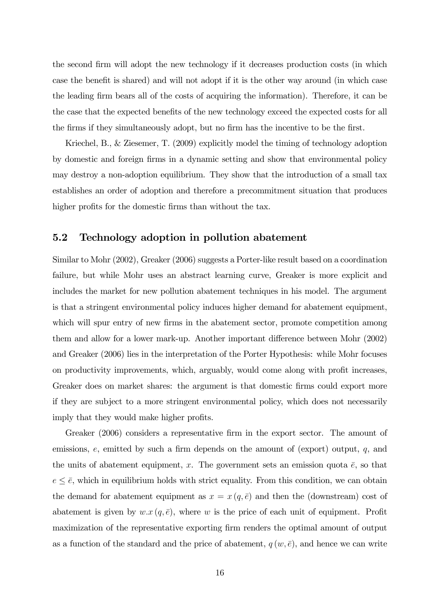the second firm will adopt the new technology if it decreases production costs (in which case the benefit is shared) and will not adopt if it is the other way around (in which case the leading firm bears all of the costs of acquiring the information). Therefore, it can be the case that the expected benefits of the new technology exceed the expected costs for all the firms if they simultaneously adopt, but no firm has the incentive to be the first.

Kriechel, B., & Ziesemer, T. (2009) explicitly model the timing of technology adoption by domestic and foreign firms in a dynamic setting and show that environmental policy may destroy a non-adoption equilibrium. They show that the introduction of a small tax establishes an order of adoption and therefore a precommitment situation that produces higher profits for the domestic firms than without the tax.

#### 5.2 Technology adoption in pollution abatement

Similar to Mohr (2002), Greaker (2006) suggests a Porter-like result based on a coordination failure, but while Mohr uses an abstract learning curve, Greaker is more explicit and includes the market for new pollution abatement techniques in his model. The argument is that a stringent environmental policy induces higher demand for abatement equipment, which will spur entry of new firms in the abatement sector, promote competition among them and allow for a lower mark-up. Another important difference between Mohr (2002) and Greaker (2006) lies in the interpretation of the Porter Hypothesis: while Mohr focuses on productivity improvements, which, arguably, would come along with profit increases, Greaker does on market shares: the argument is that domestic firms could export more if they are subject to a more stringent environmental policy, which does not necessarily imply that they would make higher profits.

Greaker (2006) considers a representative firm in the export sector. The amount of emissions,  $e$ , emitted by such a firm depends on the amount of (export) output,  $q$ , and the units of abatement equipment, x. The government sets an emission quota  $\bar{e}$ , so that  $e \leq \overline{e}$ , which in equilibrium holds with strict equality. From this condition, we can obtain the demand for abatement equipment as  $x = x(q, \bar{e})$  and then the (downstream) cost of abatement is given by  $w.x(q, \bar{e})$ , where w is the price of each unit of equipment. Profit maximization of the representative exporting firm renders the optimal amount of output as a function of the standard and the price of abatement,  $q(w, \bar{e})$ , and hence we can write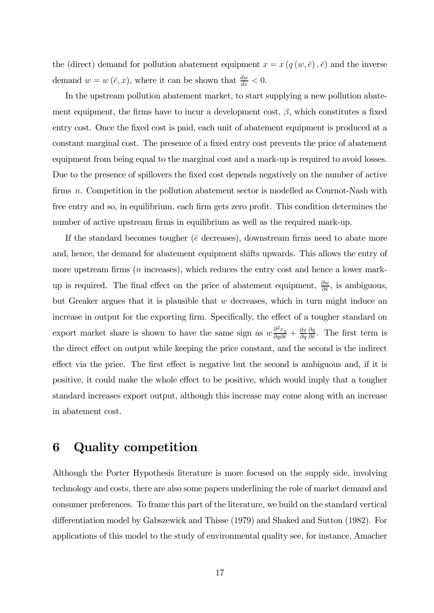the (direct) demand for pollution abatement equipment  $x = x(q(w, \bar{e}), \bar{e})$  and the inverse demand  $w = w(\bar{e}, x)$ , where it can be shown that  $\frac{dw}{dx} < 0$ .

In the upstream pollution abatement market, to start supplying a new pollution abatement equipment, the firms have to incur a development cost,  $\beta$ , which constitutes a fixed entry cost. Once the fixed cost is paid, each unit of abatement equipment is produced at a constant marginal cost. The presence of a fixed entry cost prevents the price of abatement equipment from being equal to the marginal cost and a mark-up is required to avoid losses. Due to the presence of spillovers the fixed cost depends negatively on the number of active firms  $n$ . Competition in the pollution abatement sector is modelled as Cournot-Nash with free entry and so, in equilibrium, each firm gets zero profit. This condition determines the number of active upstream firms in equilibrium as well as the required mark-up.

If the standard becomes tougher ( $\bar{e}$  decreases), downstream firms need to abate more and, hence, the demand for abatement equipment shifts upwards. This allows the entry of more upstream firms  $(n \text{ increases})$ , which reduces the entry cost and hence a lower markup is required. The final effect on the price of abatement equipment,  $\frac{\partial w}{\partial \bar{\epsilon}}$ , is ambiguous, but Greaker argues that it is plausible that  $w$  decreases, which in turn might induce an increase in output for the exporting firm. Specifically, the effect of a tougher standard on export market share is shown to have the same sign as  $w \frac{\partial^2 x_q}{\partial q \partial \bar{\epsilon}} + \frac{\partial x}{\partial q}$  $\partial q$  $\partial q$  $\frac{\partial q}{\partial \bar{\epsilon}}$ . The first term is the direct effect on output while keeping the price constant, and the second is the indirect effect via the price. The first effect is negative but the second is ambiguous and, if it is positive, it could make the whole effect to be positive, which would imply that a tougher standard increases export output, although this increase may come along with an increase in abatement cost.

### 6 Quality competition

Although the Porter Hypothesis literature is more focused on the supply side, involving technology and costs, there are also some papers underlining the role of market demand and consumer preferences. To frame this part of the literature, we build on the standard vertical differentiation model by Gabszewick and Thisse (1979) and Shaked and Sutton (1982). For applications of this model to the study of environmental quality see, for instance, Amacher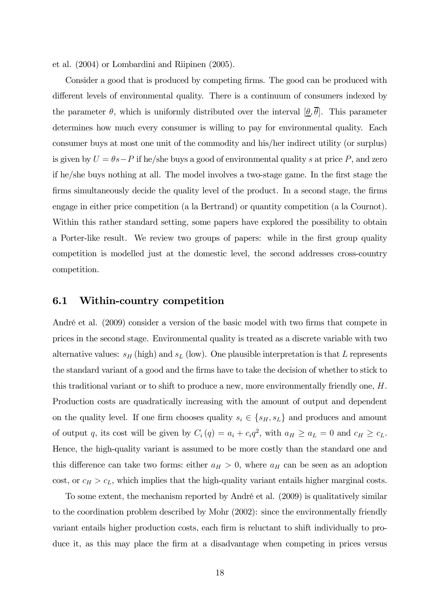et al. (2004) or Lombardini and Riipinen (2005).

Consider a good that is produced by competing firms. The good can be produced with different levels of environmental quality. There is a continuum of consumers indexed by the parameter  $\theta$ , which is uniformly distributed over the interval  $[\theta, \overline{\theta}]$ . This parameter determines how much every consumer is willing to pay for environmental quality. Each consumer buys at most one unit of the commodity and his/her indirect utility (or surplus) is given by  $U = \theta s - P$  if he/she buys a good of environmental quality s at price P, and zero if he/she buys nothing at all. The model involves a two-stage game. In the first stage the firms simultaneously decide the quality level of the product. In a second stage, the firms engage in either price competition (a la Bertrand) or quantity competition (a la Cournot). Within this rather standard setting, some papers have explored the possibility to obtain a Porter-like result. We review two groups of papers: while in the first group quality competition is modelled just at the domestic level, the second addresses cross-country competition.

#### 6.1 Within-country competition

André et al. (2009) consider a version of the basic model with two firms that compete in prices in the second stage. Environmental quality is treated as a discrete variable with two alternative values:  $s_H$  (high) and  $s_L$  (low). One plausible interpretation is that L represents the standard variant of a good and the firms have to take the decision of whether to stick to this traditional variant or to shift to produce a new, more environmentally friendly one,  $H$ . Production costs are quadratically increasing with the amount of output and dependent on the quality level. If one firm chooses quality  $s_i \in \{s_H, s_L\}$  and produces and amount of output q, its cost will be given by  $C_i(q) = a_i + c_i q^2$ , with  $a_H \ge a_L = 0$  and  $c_H \ge c_L$ . Hence, the high-quality variant is assumed to be more costly than the standard one and this difference can take two forms: either  $a_H > 0$ , where  $a_H$  can be seen as an adoption cost, or  $c_H > c_L$ , which implies that the high-quality variant entails higher marginal costs.

To some extent, the mechanism reported by André et al. (2009) is qualitatively similar to the coordination problem described by Mohr (2002): since the environmentally friendly variant entails higher production costs, each firm is reluctant to shift individually to produce it, as this may place the firm at a disadvantage when competing in prices versus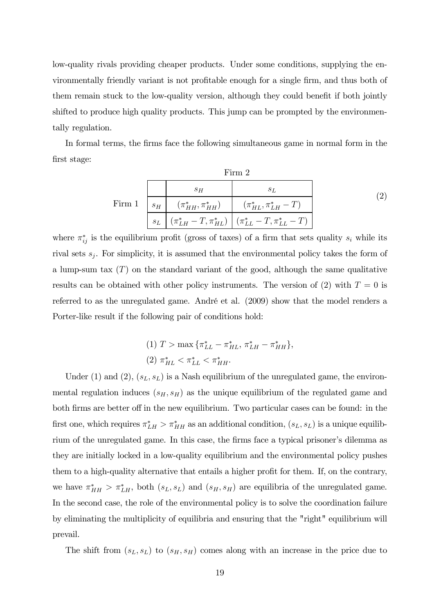low-quality rivals providing cheaper products. Under some conditions, supplying the environmentally friendly variant is not profitable enough for a single firm, and thus both of them remain stuck to the low-quality version, although they could benefit if both jointly shifted to produce high quality products. This jump can be prompted by the environmentally regulation.

In formal terms, the firms face the following simultaneous game in normal form in the first stage:

|        |       |       | Firm 2                                                            |  |
|--------|-------|-------|-------------------------------------------------------------------|--|
| Firm 1 |       | $S$ H |                                                                   |  |
|        |       |       | $s_H$ $(\pi^*_{HH}, \pi^*_{HH})$ $(\pi^*_{HL}, \pi^*_{LH} - T)$   |  |
|        | $s_L$ |       | $(\pi_{LH}^* - T, \pi_{HL}^*)$ $(\pi_{LL}^* - T, \pi_{LL}^* - T)$ |  |

where  $\pi_{ij}^*$  is the equilibrium profit (gross of taxes) of a firm that sets quality  $s_i$  while its rival sets  $s_j$ . For simplicity, it is assumed that the environmental policy takes the form of a lump-sum tax  $(T)$  on the standard variant of the good, although the same qualitative results can be obtained with other policy instruments. The version of (2) with  $T=0$  is referred to as the unregulated game. André et al. (2009) show that the model renders a Porter-like result if the following pair of conditions hold:

(1) 
$$
T > \max \{\pi_{LL}^* - \pi_{HL}^*, \pi_{LH}^* - \pi_{HH}^*\},
$$
  
(2)  $\pi_{HL}^* < \pi_{LL}^* < \pi_{HH}^*.$ 

Under (1) and (2),  $(s_L, s_L)$  is a Nash equilibrium of the unregulated game, the environmental regulation induces  $(s_H, s_H)$  as the unique equilibrium of the regulated game and both firms are better off in the new equilibrium. Two particular cases can be found: in the first one, which requires  $\pi_{LH}^* > \pi_{HH}^*$  as an additional condition,  $(s_L, s_L)$  is a unique equilibrium of the unregulated game. In this case, the firms face a typical prisoner's dilemma as they are initially locked in a low-quality equilibrium and the environmental policy pushes them to a high-quality alternative that entails a higher profit for them. If, on the contrary, we have  $\pi^*_{HH} > \pi^*_{LH}$ , both  $(s_L, s_L)$  and  $(s_H, s_H)$  are equilibria of the unregulated game. In the second case, the role of the environmental policy is to solve the coordination failure by eliminating the multiplicity of equilibria and ensuring that the "right" equilibrium will prevail.

The shift from  $(s_L, s_L)$  to  $(s_H, s_H)$  comes along with an increase in the price due to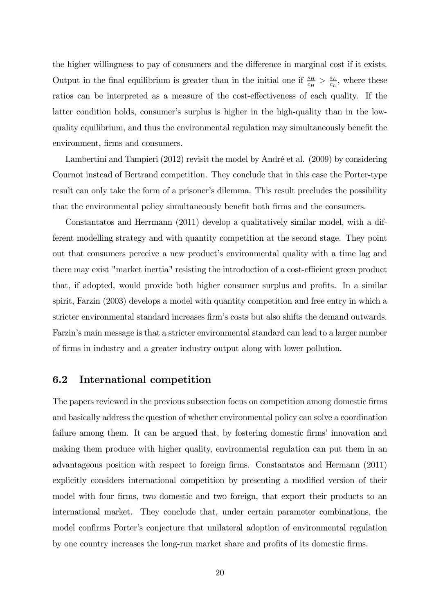the higher willingness to pay of consumers and the difference in marginal cost if it exists. Output in the final equilibrium is greater than in the initial one if  $\frac{s_H}{c_H} > \frac{s_L}{c_L}$  $\frac{s_L}{c_L}$ , where these ratios can be interpreted as a measure of the cost-effectiveness of each quality. If the latter condition holds, consumer's surplus is higher in the high-quality than in the lowquality equilibrium, and thus the environmental regulation may simultaneously benefit the environment, firms and consumers.

Lambertini and Tampieri (2012) revisit the model by André et al. (2009) by considering Cournot instead of Bertrand competition. They conclude that in this case the Porter-type result can only take the form of a prisoner's dilemma. This result precludes the possibility that the environmental policy simultaneously benefit both firms and the consumers.

Constantatos and Herrmann (2011) develop a qualitatively similar model, with a different modelling strategy and with quantity competition at the second stage. They point out that consumers perceive a new product's environmental quality with a time lag and there may exist "market inertia" resisting the introduction of a cost-efficient green product that, if adopted, would provide both higher consumer surplus and profits. In a similar spirit, Farzin (2003) develops a model with quantity competition and free entry in which a stricter environmental standard increases firm's costs but also shifts the demand outwards. Farzin's main message is that a stricter environmental standard can lead to a larger number of firms in industry and a greater industry output along with lower pollution.

#### 6.2 International competition

The papers reviewed in the previous subsection focus on competition among domestic firms and basically address the question of whether environmental policy can solve a coordination failure among them. It can be argued that, by fostering domestic firms' innovation and making them produce with higher quality, environmental regulation can put them in an advantageous position with respect to foreign firms. Constantatos and Hermann (2011) explicitly considers international competition by presenting a modified version of their model with four firms, two domestic and two foreign, that export their products to an international market. They conclude that, under certain parameter combinations, the model confirms Porter's conjecture that unilateral adoption of environmental regulation by one country increases the long-run market share and profits of its domestic firms.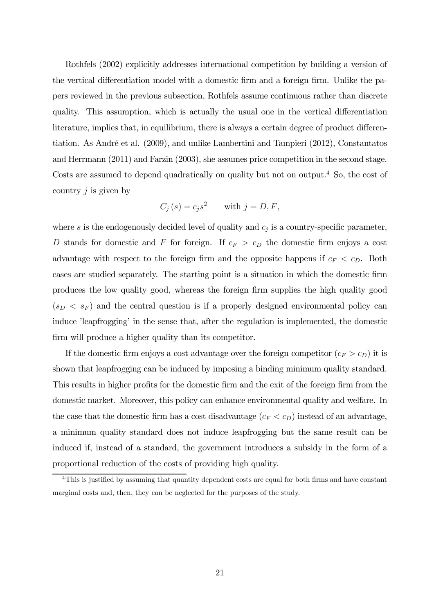Rothfels (2002) explicitly addresses international competition by building a version of the vertical differentiation model with a domestic firm and a foreign firm. Unlike the papers reviewed in the previous subsection, Rothfels assume continuous rather than discrete quality. This assumption, which is actually the usual one in the vertical differentiation literature, implies that, in equilibrium, there is always a certain degree of product differentiation. As André et al. (2009), and unlike Lambertini and Tampieri (2012), Constantatos and Herrmann (2011) and Farzin (2003), she assumes price competition in the second stage. Costs are assumed to depend quadratically on quality but not on output.<sup>4</sup> So, the cost of country  $j$  is given by

$$
C_j(s) = c_j s^2 \quad \text{with } j = D, F,
$$

where  $s$  is the endogenously decided level of quality and  $c_j$  is a country-specific parameter, D stands for domestic and F for foreign. If  $c_F > c_D$  the domestic firm enjoys a cost advantage with respect to the foreign firm and the opposite happens if  $c_F < c_D$ . Both cases are studied separately. The starting point is a situation in which the domestic firm produces the low quality good, whereas the foreign firm supplies the high quality good  $(s_D < s_F)$  and the central question is if a properly designed environmental policy can induce 'leapfrogging' in the sense that, after the regulation is implemented, the domestic firm will produce a higher quality than its competitor.

If the domestic firm enjoys a cost advantage over the foreign competitor  $(c_F > c_D)$  it is shown that leapfrogging can be induced by imposing a binding minimum quality standard. This results in higher profits for the domestic firm and the exit of the foreign firm from the domestic market. Moreover, this policy can enhance environmental quality and welfare. In the case that the domestic firm has a cost disadvantage  $(c_F < c_D)$  instead of an advantage, a minimum quality standard does not induce leapfrogging but the same result can be induced if, instead of a standard, the government introduces a subsidy in the form of a proportional reduction of the costs of providing high quality.

<sup>&</sup>lt;sup>4</sup>This is justified by assuming that quantity dependent costs are equal for both firms and have constant marginal costs and, then, they can be neglected for the purposes of the study.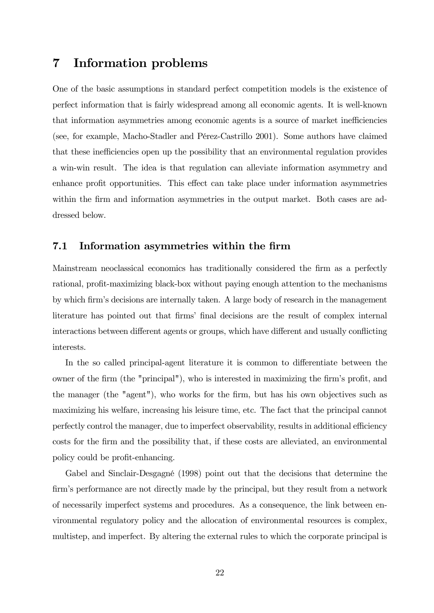### 7 Information problems

One of the basic assumptions in standard perfect competition models is the existence of perfect information that is fairly widespread among all economic agents. It is well-known that information asymmetries among economic agents is a source of market inefficiencies (see, for example, Macho-Stadler and Pérez-Castrillo 2001). Some authors have claimed that these inefficiencies open up the possibility that an environmental regulation provides a win-win result. The idea is that regulation can alleviate information asymmetry and enhance profit opportunities. This effect can take place under information asymmetries within the firm and information asymmetries in the output market. Both cases are addressed below.

#### 7.1 Information asymmetries within the firm

Mainstream neoclassical economics has traditionally considered the firm as a perfectly rational, profit-maximizing black-box without paying enough attention to the mechanisms by which firm's decisions are internally taken. A large body of research in the management literature has pointed out that firms' final decisions are the result of complex internal interactions between different agents or groups, which have different and usually conflicting interests.

In the so called principal-agent literature it is common to differentiate between the owner of the firm (the "principal"), who is interested in maximizing the firm's profit, and the manager (the "agent"), who works for the firm, but has his own objectives such as maximizing his welfare, increasing his leisure time, etc. The fact that the principal cannot perfectly control the manager, due to imperfect observability, results in additional efficiency costs for the firm and the possibility that, if these costs are alleviated, an environmental policy could be profit-enhancing.

Gabel and Sinclair-Desgagné (1998) point out that the decisions that determine the firm's performance are not directly made by the principal, but they result from a network of necessarily imperfect systems and procedures. As a consequence, the link between environmental regulatory policy and the allocation of environmental resources is complex, multistep, and imperfect. By altering the external rules to which the corporate principal is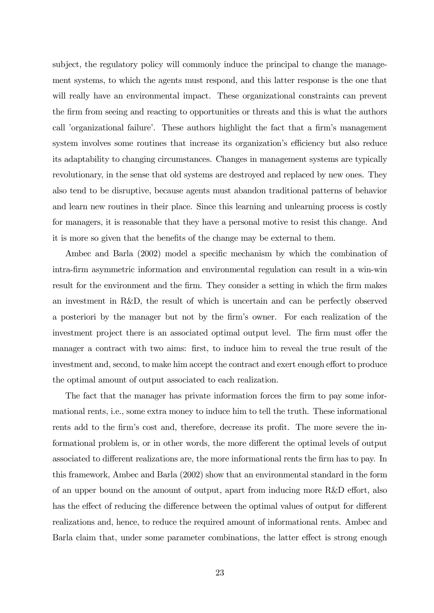subject, the regulatory policy will commonly induce the principal to change the management systems, to which the agents must respond, and this latter response is the one that will really have an environmental impact. These organizational constraints can prevent the firm from seeing and reacting to opportunities or threats and this is what the authors call 'organizational failure'. These authors highlight the fact that a firm's management system involves some routines that increase its organization's efficiency but also reduce its adaptability to changing circumstances. Changes in management systems are typically revolutionary, in the sense that old systems are destroyed and replaced by new ones. They also tend to be disruptive, because agents must abandon traditional patterns of behavior and learn new routines in their place. Since this learning and unlearning process is costly for managers, it is reasonable that they have a personal motive to resist this change. And it is more so given that the benefits of the change may be external to them.

Ambec and Barla (2002) model a specific mechanism by which the combination of intra-firm asymmetric information and environmental regulation can result in a win-win result for the environment and the firm. They consider a setting in which the firm makes an investment in R&D, the result of which is uncertain and can be perfectly observed a posteriori by the manager but not by the firm's owner. For each realization of the investment project there is an associated optimal output level. The firm must offer the manager a contract with two aims: first, to induce him to reveal the true result of the investment and, second, to make him accept the contract and exert enough effort to produce the optimal amount of output associated to each realization.

The fact that the manager has private information forces the firm to pay some informational rents, i.e., some extra money to induce him to tell the truth. These informational rents add to the firm's cost and, therefore, decrease its profit. The more severe the informational problem is, or in other words, the more different the optimal levels of output associated to different realizations are, the more informational rents the firm has to pay. In this framework, Ambec and Barla (2002) show that an environmental standard in the form of an upper bound on the amount of output, apart from inducing more R&D effort, also has the effect of reducing the difference between the optimal values of output for different realizations and, hence, to reduce the required amount of informational rents. Ambec and Barla claim that, under some parameter combinations, the latter effect is strong enough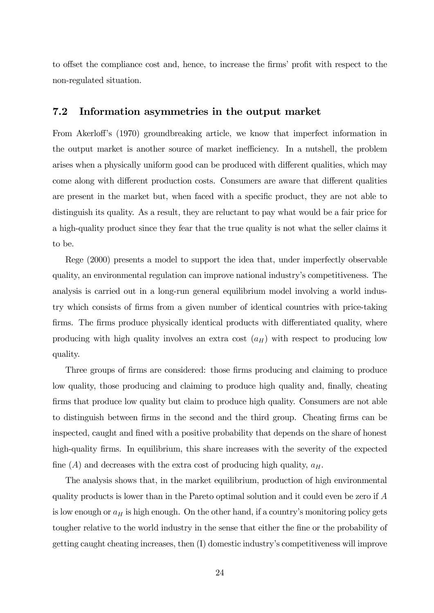to offset the compliance cost and, hence, to increase the firms' profit with respect to the non-regulated situation.

#### 7.2 Information asymmetries in the output market

From Akerloff's (1970) groundbreaking article, we know that imperfect information in the output market is another source of market inefficiency. In a nutshell, the problem arises when a physically uniform good can be produced with different qualities, which may come along with different production costs. Consumers are aware that different qualities are present in the market but, when faced with a specific product, they are not able to distinguish its quality. As a result, they are reluctant to pay what would be a fair price for a high-quality product since they fear that the true quality is not what the seller claims it to be.

Rege (2000) presents a model to support the idea that, under imperfectly observable quality, an environmental regulation can improve national industry's competitiveness. The analysis is carried out in a long-run general equilibrium model involving a world industry which consists of firms from a given number of identical countries with price-taking firms. The firms produce physically identical products with differentiated quality, where producing with high quality involves an extra cost  $(a_H)$  with respect to producing low quality.

Three groups of firms are considered: those firms producing and claiming to produce low quality, those producing and claiming to produce high quality and, finally, cheating firms that produce low quality but claim to produce high quality. Consumers are not able to distinguish between firms in the second and the third group. Cheating firms can be inspected, caught and fined with a positive probability that depends on the share of honest high-quality firms. In equilibrium, this share increases with the severity of the expected fine (A) and decreases with the extra cost of producing high quality,  $a_H$ .

The analysis shows that, in the market equilibrium, production of high environmental quality products is lower than in the Pareto optimal solution and it could even be zero if  $A$ is low enough or  $a_H$  is high enough. On the other hand, if a country's monitoring policy gets tougher relative to the world industry in the sense that either the fine or the probability of getting caught cheating increases, then (I) domestic industry's competitiveness will improve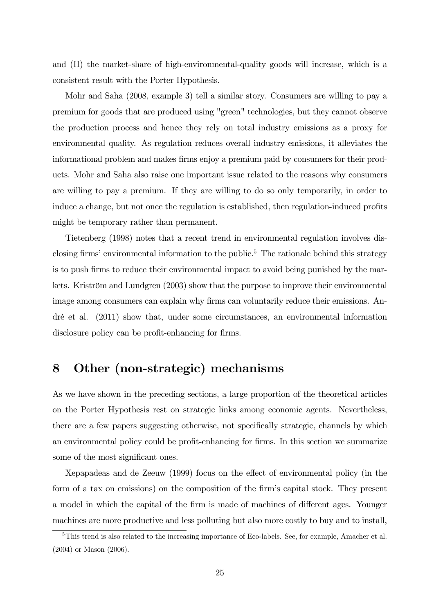and (II) the market-share of high-environmental-quality goods will increase, which is a consistent result with the Porter Hypothesis.

Mohr and Saha (2008, example 3) tell a similar story. Consumers are willing to pay a premium for goods that are produced using "green" technologies, but they cannot observe the production process and hence they rely on total industry emissions as a proxy for environmental quality. As regulation reduces overall industry emissions, it alleviates the informational problem and makes firms enjoy a premium paid by consumers for their products. Mohr and Saha also raise one important issue related to the reasons why consumers are willing to pay a premium. If they are willing to do so only temporarily, in order to induce a change, but not once the regulation is established, then regulation-induced profits might be temporary rather than permanent.

Tietenberg (1998) notes that a recent trend in environmental regulation involves disclosing firms' environmental information to the public.<sup>5</sup> The rationale behind this strategy is to push firms to reduce their environmental impact to avoid being punished by the markets. Kriström and Lundgren (2003) show that the purpose to improve their environmental image among consumers can explain why firms can voluntarily reduce their emissions. André et al. (2011) show that, under some circumstances, an environmental information disclosure policy can be profit-enhancing for firms.

### 8 Other (non-strategic) mechanisms

As we have shown in the preceding sections, a large proportion of the theoretical articles on the Porter Hypothesis rest on strategic links among economic agents. Nevertheless, there are a few papers suggesting otherwise, not specifically strategic, channels by which an environmental policy could be profit-enhancing for firms. In this section we summarize some of the most significant ones.

Xepapadeas and de Zeeuw (1999) focus on the effect of environmental policy (in the form of a tax on emissions) on the composition of the firm's capital stock. They present a model in which the capital of the firm is made of machines of different ages. Younger machines are more productive and less polluting but also more costly to buy and to install,

<sup>&</sup>lt;sup>5</sup>This trend is also related to the increasing importance of Eco-labels. See, for example, Amacher et al. (2004) or Mason (2006).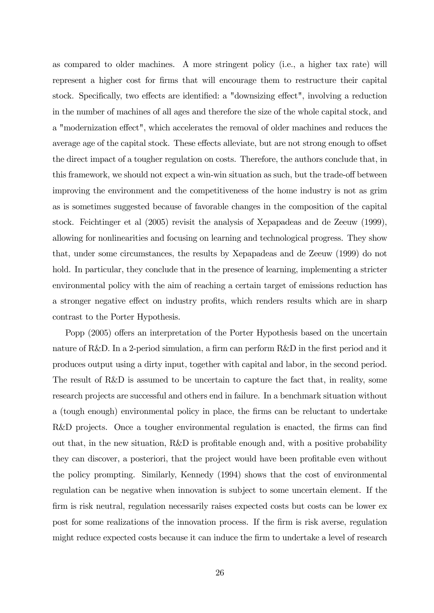as compared to older machines. A more stringent policy (i.e., a higher tax rate) will represent a higher cost for firms that will encourage them to restructure their capital stock. Specifically, two effects are identified: a "downsizing effect", involving a reduction in the number of machines of all ages and therefore the size of the whole capital stock, and a "modernization effect", which accelerates the removal of older machines and reduces the average age of the capital stock. These effects alleviate, but are not strong enough to offset the direct impact of a tougher regulation on costs. Therefore, the authors conclude that, in this framework, we should not expect a win-win situation as such, but the trade-off between improving the environment and the competitiveness of the home industry is not as grim as is sometimes suggested because of favorable changes in the composition of the capital stock. Feichtinger et al (2005) revisit the analysis of Xepapadeas and de Zeeuw (1999), allowing for nonlinearities and focusing on learning and technological progress. They show that, under some circumstances, the results by Xepapadeas and de Zeeuw (1999) do not hold. In particular, they conclude that in the presence of learning, implementing a stricter environmental policy with the aim of reaching a certain target of emissions reduction has a stronger negative effect on industry profits, which renders results which are in sharp contrast to the Porter Hypothesis.

Popp (2005) offers an interpretation of the Porter Hypothesis based on the uncertain nature of R&D. In a 2-period simulation, a firm can perform R&D in the first period and it produces output using a dirty input, together with capital and labor, in the second period. The result of R&D is assumed to be uncertain to capture the fact that, in reality, some research projects are successful and others end in failure. In a benchmark situation without a (tough enough) environmental policy in place, the firms can be reluctant to undertake R&D projects. Once a tougher environmental regulation is enacted, the firms can find out that, in the new situation, R&D is profitable enough and, with a positive probability they can discover, a posteriori, that the project would have been profitable even without the policy prompting. Similarly, Kennedy (1994) shows that the cost of environmental regulation can be negative when innovation is subject to some uncertain element. If the firm is risk neutral, regulation necessarily raises expected costs but costs can be lower ex post for some realizations of the innovation process. If the firm is risk averse, regulation might reduce expected costs because it can induce the firm to undertake a level of research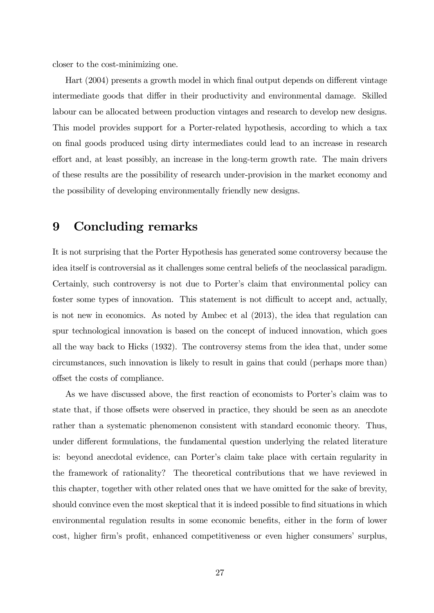closer to the cost-minimizing one.

Hart (2004) presents a growth model in which final output depends on different vintage intermediate goods that differ in their productivity and environmental damage. Skilled labour can be allocated between production vintages and research to develop new designs. This model provides support for a Porter-related hypothesis, according to which a tax on final goods produced using dirty intermediates could lead to an increase in research effort and, at least possibly, an increase in the long-term growth rate. The main drivers of these results are the possibility of research under-provision in the market economy and the possibility of developing environmentally friendly new designs.

### 9 Concluding remarks

It is not surprising that the Porter Hypothesis has generated some controversy because the idea itself is controversial as it challenges some central beliefs of the neoclassical paradigm. Certainly, such controversy is not due to Porter's claim that environmental policy can foster some types of innovation. This statement is not difficult to accept and, actually, is not new in economics. As noted by Ambec et al (2013), the idea that regulation can spur technological innovation is based on the concept of induced innovation, which goes all the way back to Hicks (1932). The controversy stems from the idea that, under some circumstances, such innovation is likely to result in gains that could (perhaps more than) offset the costs of compliance.

As we have discussed above, the first reaction of economists to Porter's claim was to state that, if those offsets were observed in practice, they should be seen as an anecdote rather than a systematic phenomenon consistent with standard economic theory. Thus, under different formulations, the fundamental question underlying the related literature is: beyond anecdotal evidence, can Porter's claim take place with certain regularity in the framework of rationality? The theoretical contributions that we have reviewed in this chapter, together with other related ones that we have omitted for the sake of brevity, should convince even the most skeptical that it is indeed possible to find situations in which environmental regulation results in some economic benefits, either in the form of lower cost, higher firm's profit, enhanced competitiveness or even higher consumers' surplus,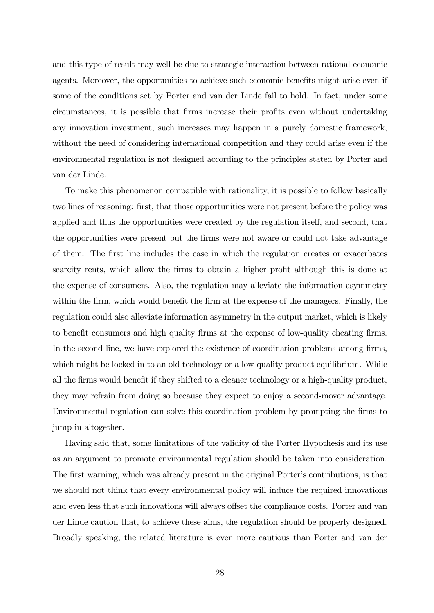and this type of result may well be due to strategic interaction between rational economic agents. Moreover, the opportunities to achieve such economic benefits might arise even if some of the conditions set by Porter and van der Linde fail to hold. In fact, under some circumstances, it is possible that firms increase their profits even without undertaking any innovation investment, such increases may happen in a purely domestic framework, without the need of considering international competition and they could arise even if the environmental regulation is not designed according to the principles stated by Porter and van der Linde.

To make this phenomenon compatible with rationality, it is possible to follow basically two lines of reasoning: first, that those opportunities were not present before the policy was applied and thus the opportunities were created by the regulation itself, and second, that the opportunities were present but the firms were not aware or could not take advantage of them. The first line includes the case in which the regulation creates or exacerbates scarcity rents, which allow the firms to obtain a higher profit although this is done at the expense of consumers. Also, the regulation may alleviate the information asymmetry within the firm, which would benefit the firm at the expense of the managers. Finally, the regulation could also alleviate information asymmetry in the output market, which is likely to benefit consumers and high quality firms at the expense of low-quality cheating firms. In the second line, we have explored the existence of coordination problems among firms, which might be locked in to an old technology or a low-quality product equilibrium. While all the firms would benefit if they shifted to a cleaner technology or a high-quality product, they may refrain from doing so because they expect to enjoy a second-mover advantage. Environmental regulation can solve this coordination problem by prompting the firms to jump in altogether.

Having said that, some limitations of the validity of the Porter Hypothesis and its use as an argument to promote environmental regulation should be taken into consideration. The first warning, which was already present in the original Porter's contributions, is that we should not think that every environmental policy will induce the required innovations and even less that such innovations will always offset the compliance costs. Porter and van der Linde caution that, to achieve these aims, the regulation should be properly designed. Broadly speaking, the related literature is even more cautious than Porter and van der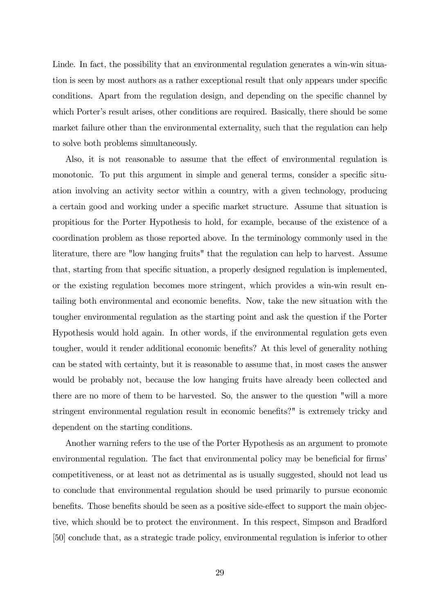Linde. In fact, the possibility that an environmental regulation generates a win-win situation is seen by most authors as a rather exceptional result that only appears under specific conditions. Apart from the regulation design, and depending on the specific channel by which Porter's result arises, other conditions are required. Basically, there should be some market failure other than the environmental externality, such that the regulation can help to solve both problems simultaneously.

Also, it is not reasonable to assume that the effect of environmental regulation is monotonic. To put this argument in simple and general terms, consider a specific situation involving an activity sector within a country, with a given technology, producing a certain good and working under a specific market structure. Assume that situation is propitious for the Porter Hypothesis to hold, for example, because of the existence of a coordination problem as those reported above. In the terminology commonly used in the literature, there are "low hanging fruits" that the regulation can help to harvest. Assume that, starting from that specific situation, a properly designed regulation is implemented, or the existing regulation becomes more stringent, which provides a win-win result entailing both environmental and economic benefits. Now, take the new situation with the tougher environmental regulation as the starting point and ask the question if the Porter Hypothesis would hold again. In other words, if the environmental regulation gets even tougher, would it render additional economic benefits? At this level of generality nothing can be stated with certainty, but it is reasonable to assume that, in most cases the answer would be probably not, because the low hanging fruits have already been collected and there are no more of them to be harvested. So, the answer to the question "will a more stringent environmental regulation result in economic benefits?" is extremely tricky and dependent on the starting conditions.

Another warning refers to the use of the Porter Hypothesis as an argument to promote environmental regulation. The fact that environmental policy may be beneficial for firms' competitiveness, or at least not as detrimental as is usually suggested, should not lead us to conclude that environmental regulation should be used primarily to pursue economic benefits. Those benefits should be seen as a positive side-effect to support the main objective, which should be to protect the environment. In this respect, Simpson and Bradford [50] conclude that, as a strategic trade policy, environmental regulation is inferior to other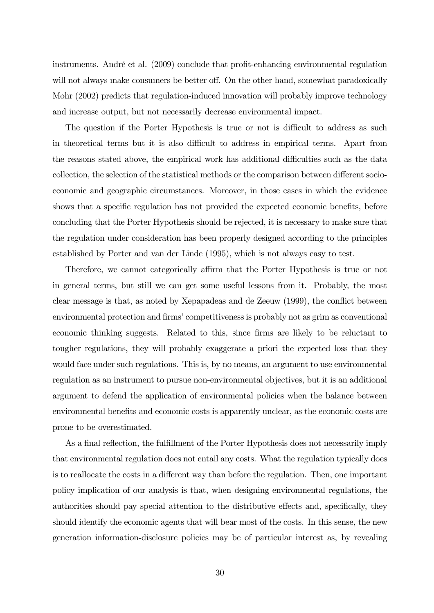instruments. André et al. (2009) conclude that profit-enhancing environmental regulation will not always make consumers be better off. On the other hand, somewhat paradoxically Mohr (2002) predicts that regulation-induced innovation will probably improve technology and increase output, but not necessarily decrease environmental impact.

The question if the Porter Hypothesis is true or not is difficult to address as such in theoretical terms but it is also difficult to address in empirical terms. Apart from the reasons stated above, the empirical work has additional difficulties such as the data collection, the selection of the statistical methods or the comparison between different socioeconomic and geographic circumstances. Moreover, in those cases in which the evidence shows that a specific regulation has not provided the expected economic benefits, before concluding that the Porter Hypothesis should be rejected, it is necessary to make sure that the regulation under consideration has been properly designed according to the principles established by Porter and van der Linde (1995), which is not always easy to test.

Therefore, we cannot categorically affirm that the Porter Hypothesis is true or not in general terms, but still we can get some useful lessons from it. Probably, the most clear message is that, as noted by Xepapadeas and de Zeeuw (1999), the conflict between environmental protection and firms' competitiveness is probably not as grim as conventional economic thinking suggests. Related to this, since firms are likely to be reluctant to tougher regulations, they will probably exaggerate a priori the expected loss that they would face under such regulations. This is, by no means, an argument to use environmental regulation as an instrument to pursue non-environmental objectives, but it is an additional argument to defend the application of environmental policies when the balance between environmental benefits and economic costs is apparently unclear, as the economic costs are prone to be overestimated.

As a final reflection, the fulfillment of the Porter Hypothesis does not necessarily imply that environmental regulation does not entail any costs. What the regulation typically does is to reallocate the costs in a different way than before the regulation. Then, one important policy implication of our analysis is that, when designing environmental regulations, the authorities should pay special attention to the distributive effects and, specifically, they should identify the economic agents that will bear most of the costs. In this sense, the new generation information-disclosure policies may be of particular interest as, by revealing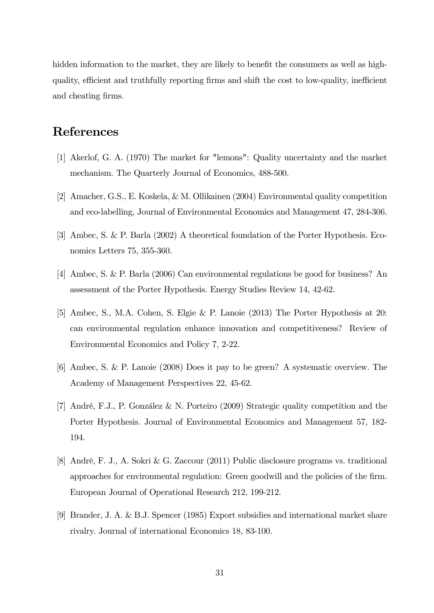hidden information to the market, they are likely to benefit the consumers as well as highquality, efficient and truthfully reporting firms and shift the cost to low-quality, inefficient and cheating firms.

## References

- [1] Akerlof, G. A. (1970) The market for "lemons": Quality uncertainty and the market mechanism. The Quarterly Journal of Economics, 488-500.
- [2] Amacher, G.S., E. Koskela, & M. Ollikainen (2004) Environmental quality competition and eco-labelling, Journal of Environmental Economics and Management 47, 284-306.
- [3] Ambec, S. & P. Barla (2002) A theoretical foundation of the Porter Hypothesis. Economics Letters 75, 355-360.
- [4] Ambec, S. & P. Barla (2006) Can environmental regulations be good for business? An assessment of the Porter Hypothesis. Energy Studies Review 14, 42-62.
- [5] Ambec, S., M.A. Cohen, S. Elgie & P. Lanoie (2013) The Porter Hypothesis at 20: can environmental regulation enhance innovation and competitiveness? Review of Environmental Economics and Policy 7, 2-22.
- [6] Ambec, S. & P. Lanoie (2008) Does it pay to be green? A systematic overview. The Academy of Management Perspectives 22, 45-62.
- [7] André, F.J., P. González & N. Porteiro (2009) Strategic quality competition and the Porter Hypothesis. Journal of Environmental Economics and Management 57, 182- 194.
- [8] André, F. J., A. Sokri & G. Zaccour (2011) Public disclosure programs vs. traditional approaches for environmental regulation: Green goodwill and the policies of the firm. European Journal of Operational Research 212, 199-212.
- [9] Brander, J. A. & B.J. Spencer (1985) Export subsidies and international market share rivalry. Journal of international Economics 18, 83-100.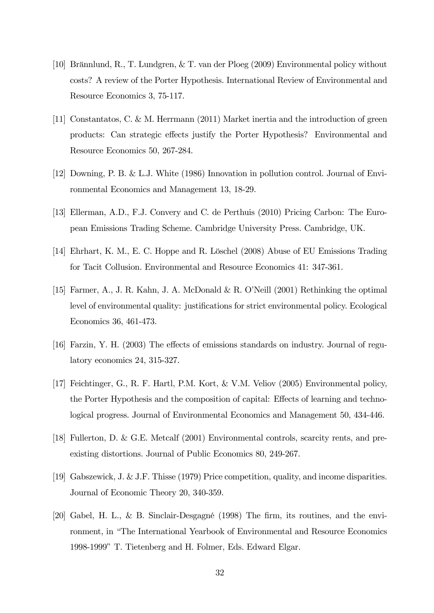- [10] Brännlund, R., T. Lundgren, & T. van der Ploeg (2009) Environmental policy without costs? A review of the Porter Hypothesis. International Review of Environmental and Resource Economics 3, 75-117.
- [11] Constantatos, C. & M. Herrmann (2011) Market inertia and the introduction of green products: Can strategic effects justify the Porter Hypothesis? Environmental and Resource Economics 50, 267-284.
- [12] Downing, P. B. & L.J. White (1986) Innovation in pollution control. Journal of Environmental Economics and Management 13, 18-29.
- [13] Ellerman, A.D., F.J. Convery and C. de Perthuis (2010) Pricing Carbon: The European Emissions Trading Scheme. Cambridge University Press. Cambridge, UK.
- [14] Ehrhart, K. M., E. C. Hoppe and R. Löschel (2008) Abuse of EU Emissions Trading for Tacit Collusion. Environmental and Resource Economics 41: 347-361.
- [15] Farmer, A., J. R. Kahn, J. A. McDonald & R. O'Neill (2001) Rethinking the optimal level of environmental quality: justifications for strict environmental policy. Ecological Economics 36, 461-473.
- [16] Farzin, Y. H. (2003) The effects of emissions standards on industry. Journal of regulatory economics 24, 315-327.
- [17] Feichtinger, G., R. F. Hartl, P.M. Kort, & V.M. Veliov (2005) Environmental policy, the Porter Hypothesis and the composition of capital: Effects of learning and technological progress. Journal of Environmental Economics and Management 50, 434-446.
- [18] Fullerton, D. & G.E. Metcalf (2001) Environmental controls, scarcity rents, and preexisting distortions. Journal of Public Economics 80, 249-267.
- [19] Gabszewick, J. & J.F. Thisse (1979) Price competition, quality, and income disparities. Journal of Economic Theory 20, 340-359.
- [20] Gabel, H. L., & B. Sinclair-Desgagné (1998) The firm, its routines, and the environment, in "The International Yearbook of Environmental and Resource Economics 1998-1999" T. Tietenberg and H. Folmer, Eds. Edward Elgar.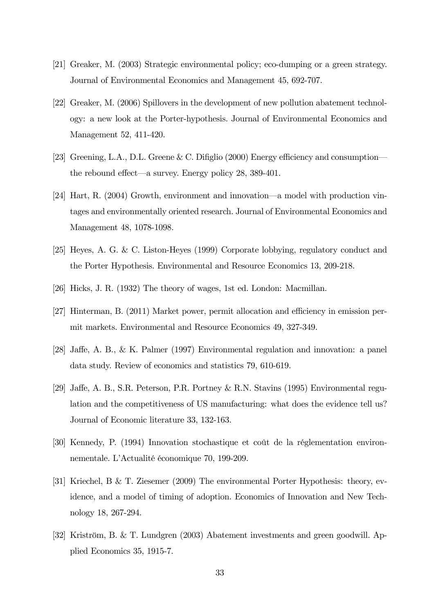- [21] Greaker, M. (2003) Strategic environmental policy; eco-dumping or a green strategy. Journal of Environmental Economics and Management 45, 692-707.
- [22] Greaker, M. (2006) Spillovers in the development of new pollution abatement technology: a new look at the Porter-hypothesis. Journal of Environmental Economics and Management 52, 411-420.
- [23] Greening, L.A., D.L. Greene & C. Difiglio (2000) Energy efficiency and consumption– the rebound effect–a survey. Energy policy 28, 389-401.
- [24] Hart, R. (2004) Growth, environment and innovation–a model with production vintages and environmentally oriented research. Journal of Environmental Economics and Management 48, 1078-1098.
- [25] Heyes, A. G. & C. Liston-Heyes (1999) Corporate lobbying, regulatory conduct and the Porter Hypothesis. Environmental and Resource Economics 13, 209-218.
- [26] Hicks, J. R. (1932) The theory of wages, 1st ed. London: Macmillan.
- [27] Hinterman, B. (2011) Market power, permit allocation and efficiency in emission permit markets. Environmental and Resource Economics 49, 327-349.
- [28] Jaffe, A. B., & K. Palmer (1997) Environmental regulation and innovation: a panel data study. Review of economics and statistics 79, 610-619.
- [29] Jaffe, A. B., S.R. Peterson, P.R. Portney & R.N. Stavins (1995) Environmental regulation and the competitiveness of US manufacturing: what does the evidence tell us? Journal of Economic literature 33, 132-163.
- [30] Kennedy, P. (1994) Innovation stochastique et coût de la réglementation environnementale. L'Actualité économique 70, 199-209.
- [31] Kriechel, B & T. Ziesemer (2009) The environmental Porter Hypothesis: theory, evidence, and a model of timing of adoption. Economics of Innovation and New Technology 18, 267-294.
- [32] Kriström, B. & T. Lundgren (2003) Abatement investments and green goodwill. Applied Economics 35, 1915-7.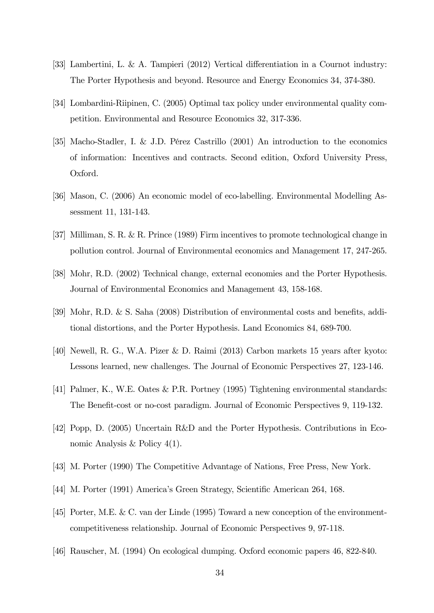- [33] Lambertini, L. & A. Tampieri (2012) Vertical differentiation in a Cournot industry: The Porter Hypothesis and beyond. Resource and Energy Economics 34, 374-380.
- [34] Lombardini-Riipinen, C. (2005) Optimal tax policy under environmental quality competition. Environmental and Resource Economics 32, 317-336.
- [35] Macho-Stadler, I. & J.D. Pérez Castrillo (2001) An introduction to the economics of information: Incentives and contracts. Second edition, Oxford University Press, Oxford.
- [36] Mason, C. (2006) An economic model of eco-labelling. Environmental Modelling Assessment 11, 131-143.
- [37] Milliman, S. R. & R. Prince (1989) Firm incentives to promote technological change in pollution control. Journal of Environmental economics and Management 17, 247-265.
- [38] Mohr, R.D. (2002) Technical change, external economies and the Porter Hypothesis. Journal of Environmental Economics and Management 43, 158-168.
- [39] Mohr, R.D. & S. Saha (2008) Distribution of environmental costs and benefits, additional distortions, and the Porter Hypothesis. Land Economics 84, 689-700.
- [40] Newell, R. G., W.A. Pizer & D. Raimi (2013) Carbon markets 15 years after kyoto: Lessons learned, new challenges. The Journal of Economic Perspectives 27, 123-146.
- [41] Palmer, K., W.E. Oates & P.R. Portney (1995) Tightening environmental standards: The Benefit-cost or no-cost paradigm. Journal of Economic Perspectives 9, 119-132.
- [42] Popp, D. (2005) Uncertain R&D and the Porter Hypothesis. Contributions in Economic Analysis & Policy 4(1).
- [43] M. Porter (1990) The Competitive Advantage of Nations, Free Press, New York.
- [44] M. Porter (1991) America's Green Strategy, Scientific American 264, 168.
- [45] Porter, M.E. & C. van der Linde (1995) Toward a new conception of the environmentcompetitiveness relationship. Journal of Economic Perspectives 9, 97-118.
- [46] Rauscher, M. (1994) On ecological dumping. Oxford economic papers 46, 822-840.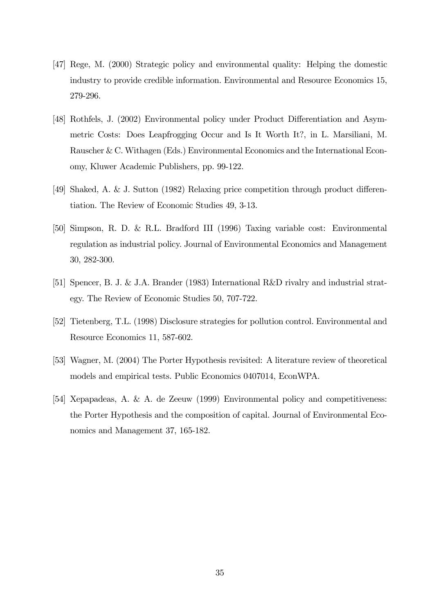- [47] Rege, M. (2000) Strategic policy and environmental quality: Helping the domestic industry to provide credible information. Environmental and Resource Economics 15, 279-296.
- [48] Rothfels, J. (2002) Environmental policy under Product Differentiation and Asymmetric Costs: Does Leapfrogging Occur and Is It Worth It?, in L. Marsiliani, M. Rauscher & C. Withagen (Eds.) Environmental Economics and the International Economy, Kluwer Academic Publishers, pp. 99-122.
- [49] Shaked, A. & J. Sutton (1982) Relaxing price competition through product differentiation. The Review of Economic Studies 49, 3-13.
- [50] Simpson, R. D. & R.L. Bradford III (1996) Taxing variable cost: Environmental regulation as industrial policy. Journal of Environmental Economics and Management 30, 282-300.
- [51] Spencer, B. J. & J.A. Brander (1983) International R&D rivalry and industrial strategy. The Review of Economic Studies 50, 707-722.
- [52] Tietenberg, T.L. (1998) Disclosure strategies for pollution control. Environmental and Resource Economics 11, 587-602.
- [53] Wagner, M. (2004) The Porter Hypothesis revisited: A literature review of theoretical models and empirical tests. Public Economics 0407014, EconWPA.
- [54] Xepapadeas, A. & A. de Zeeuw (1999) Environmental policy and competitiveness: the Porter Hypothesis and the composition of capital. Journal of Environmental Economics and Management 37, 165-182.